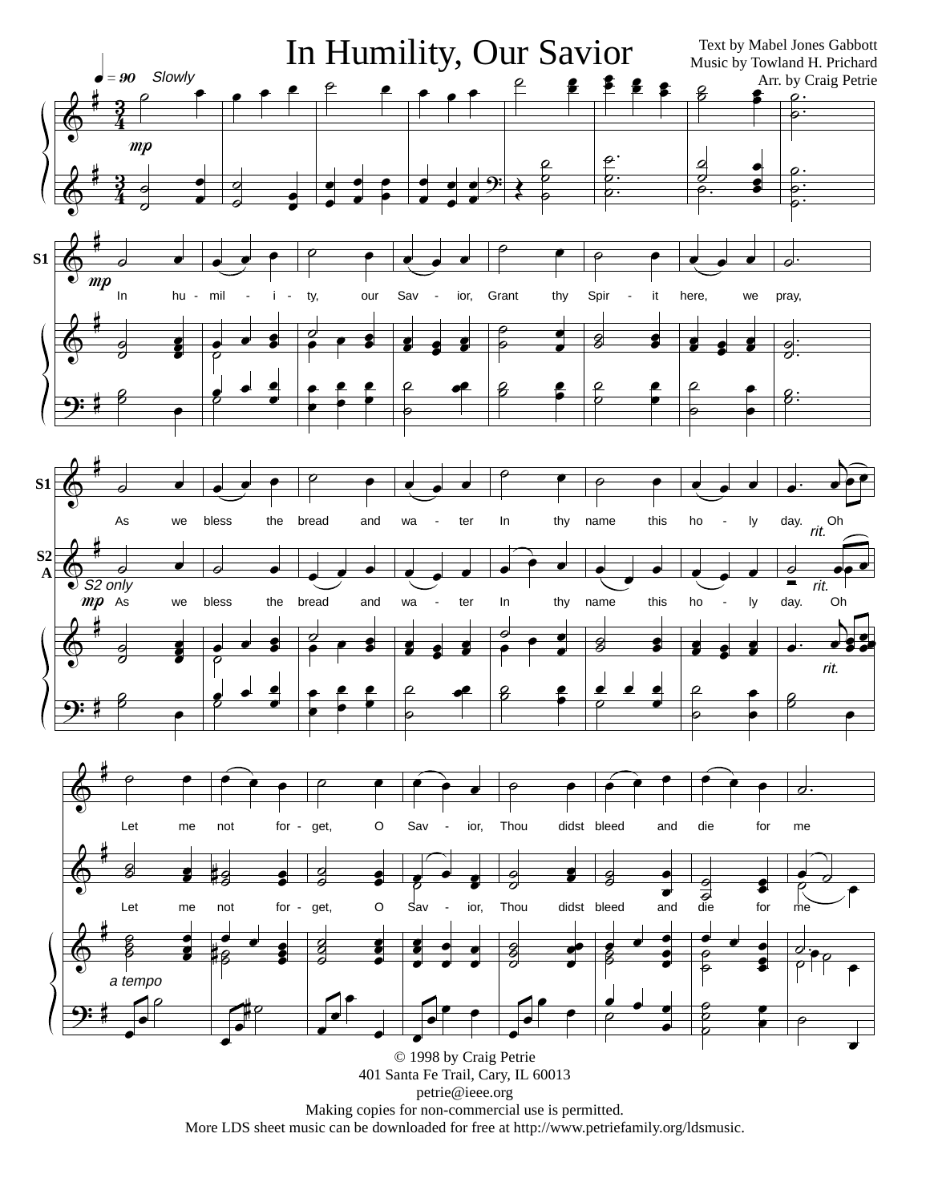

More LDS sheet music can be downloaded for free at http://www.petriefamily.org/ldsmusic.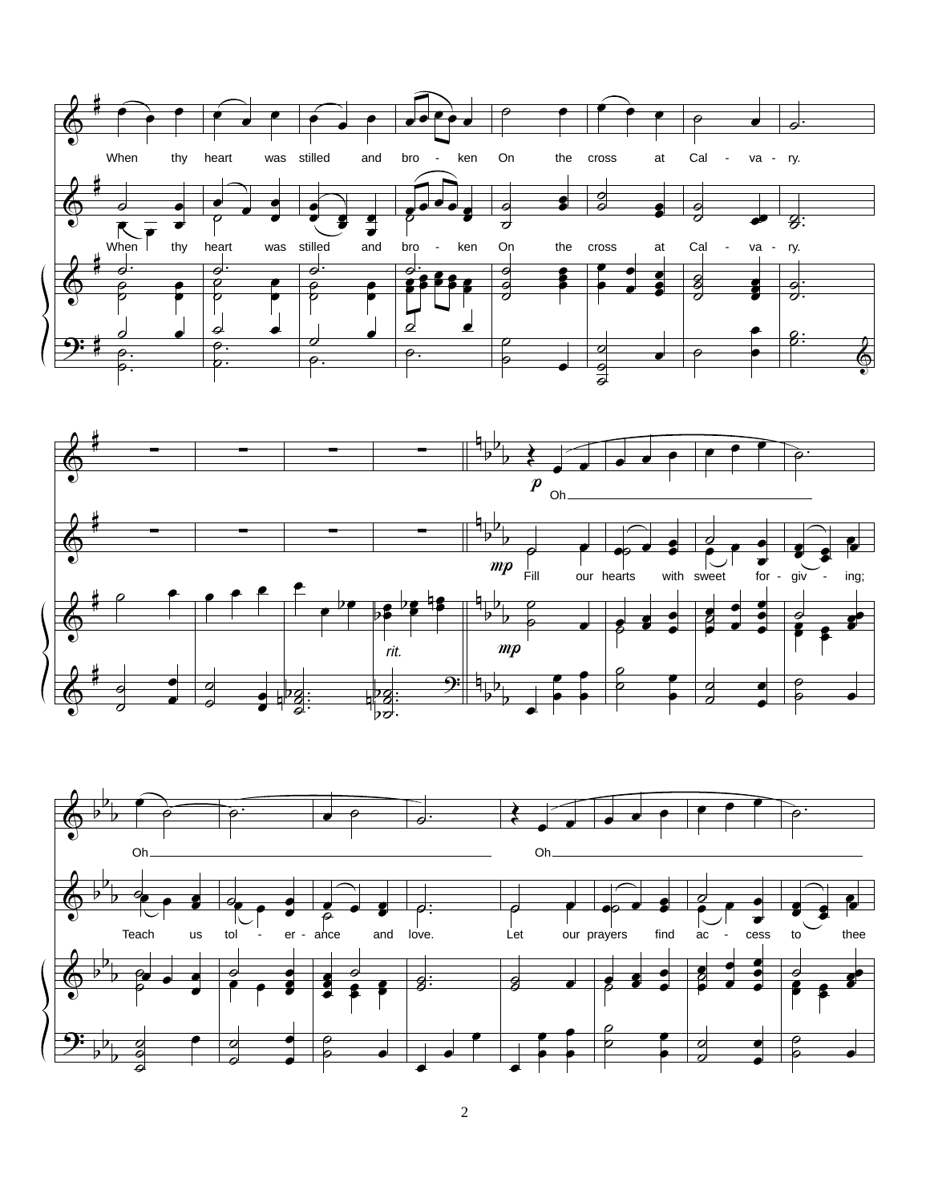